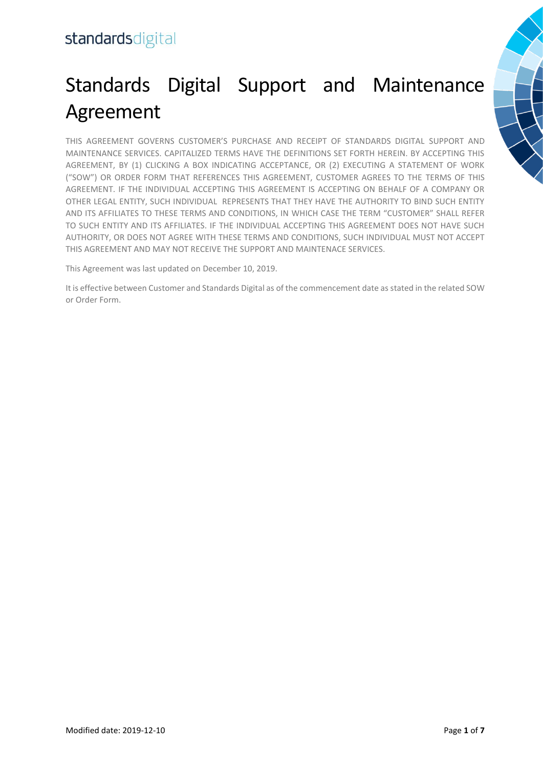# Standards Digital Support and Maintenance Agreement

THIS AGREEMENT GOVERNS CUSTOMER'S PURCHASE AND RECEIPT OF STANDARDS DIGITAL SUPPORT AND MAINTENANCE SERVICES. CAPITALIZED TERMS HAVE THE DEFINITIONS SET FORTH HEREIN. BY ACCEPTING THIS AGREEMENT, BY (1) CLICKING A BOX INDICATING ACCEPTANCE, OR (2) EXECUTING A STATEMENT OF WORK ("SOW") OR ORDER FORM THAT REFERENCES THIS AGREEMENT, CUSTOMER AGREES TO THE TERMS OF THIS AGREEMENT. IF THE INDIVIDUAL ACCEPTING THIS AGREEMENT IS ACCEPTING ON BEHALF OF A COMPANY OR OTHER LEGAL ENTITY, SUCH INDIVIDUAL REPRESENTS THAT THEY HAVE THE AUTHORITY TO BIND SUCH ENTITY AND ITS AFFILIATES TO THESE TERMS AND CONDITIONS, IN WHICH CASE THE TERM "CUSTOMER" SHALL REFER TO SUCH ENTITY AND ITS AFFILIATES. IF THE INDIVIDUAL ACCEPTING THIS AGREEMENT DOES NOT HAVE SUCH AUTHORITY, OR DOES NOT AGREE WITH THESE TERMS AND CONDITIONS, SUCH INDIVIDUAL MUST NOT ACCEPT THIS AGREEMENT AND MAY NOT RECEIVE THE SUPPORT AND MAINTENACE SERVICES.

This Agreement was last updated on December 10, 2019.

It is effective between Customer and Standards Digital as of the commencement date as stated in the related SOW or Order Form.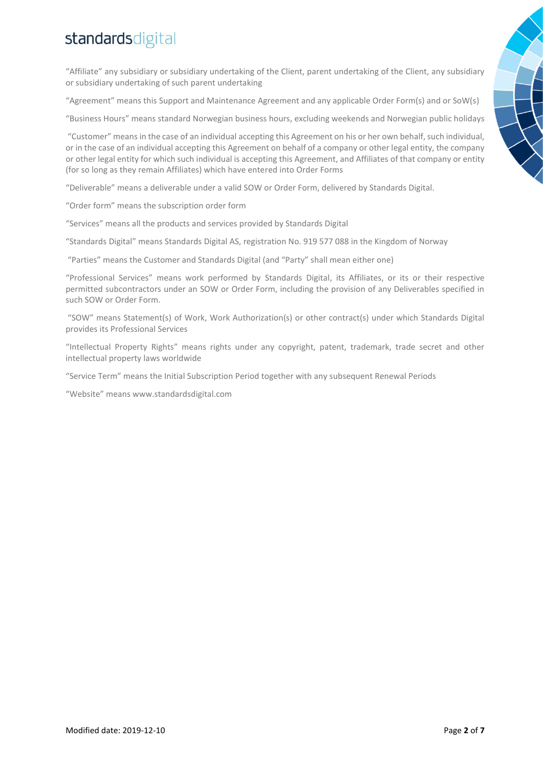"Affiliate" any subsidiary or subsidiary undertaking of the Client, parent undertaking of the Client, any subsidiary or subsidiary undertaking of such parent undertaking

"Agreement" means this Support and Maintenance Agreement and any applicable Order Form(s) and or SoW(s)

"Business Hours" means standard Norwegian business hours, excluding weekends and Norwegian public holidays

"Customer" means in the case of an individual accepting this Agreement on his or her own behalf, such individual, or in the case of an individual accepting this Agreement on behalf of a company or other legal entity, the company or other legal entity for which such individual is accepting this Agreement, and Affiliates of that company or entity (for so long as they remain Affiliates) which have entered into Order Forms

"Deliverable" means a deliverable under a valid SOW or Order Form, delivered by Standards Digital.

"Order form" means the subscription order form

"Services" means all the products and services provided by Standards Digital

"Standards Digital" means Standards Digital AS, registration No. 919 577 088 in the Kingdom of Norway

"Parties" means the Customer and Standards Digital (and "Party" shall mean either one)

"Professional Services" means work performed by Standards Digital, its Affiliates, or its or their respective permitted subcontractors under an SOW or Order Form, including the provision of any Deliverables specified in such SOW or Order Form.

"SOW" means Statement(s) of Work, Work Authorization(s) or other contract(s) under which Standards Digital provides its Professional Services

"Intellectual Property Rights" means rights under any copyright, patent, trademark, trade secret and other intellectual property laws worldwide

"Service Term" means the Initial Subscription Period together with any subsequent Renewal Periods

"Website" means www.standardsdigital.com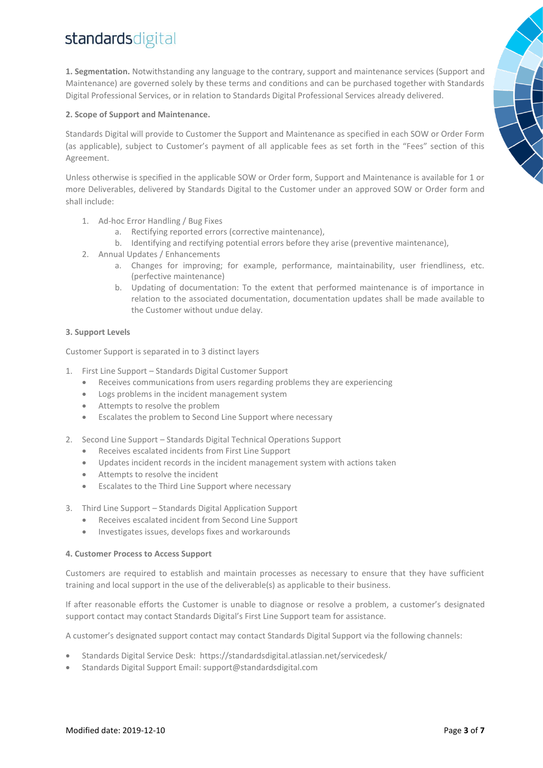**1. Segmentation.** Notwithstanding any language to the contrary, support and maintenance services (Support and Maintenance) are governed solely by these terms and conditions and can be purchased together with Standards Digital Professional Services, or in relation to Standards Digital Professional Services already delivered.

# **2. Scope of Support and Maintenance.**

Standards Digital will provide to Customer the Support and Maintenance as specified in each SOW or Order Form (as applicable), subject to Customer's payment of all applicable fees as set forth in the "Fees" section of this Agreement.

Unless otherwise is specified in the applicable SOW or Order form, Support and Maintenance is available for 1 or more Deliverables, delivered by Standards Digital to the Customer under an approved SOW or Order form and shall include:

- 1. Ad-hoc Error Handling / Bug Fixes
	- a. Rectifying reported errors (corrective maintenance),
	- b. Identifying and rectifying potential errors before they arise (preventive maintenance),
- 2. Annual Updates / Enhancements
	- a. Changes for improving; for example, performance, maintainability, user friendliness, etc. (perfective maintenance)
	- b. Updating of documentation: To the extent that performed maintenance is of importance in relation to the associated documentation, documentation updates shall be made available to the Customer without undue delay.

# **3. Support Levels**

Customer Support is separated in to 3 distinct layers

- 1. First Line Support Standards Digital Customer Support
	- Receives communications from users regarding problems they are experiencing
	- Logs problems in the incident management system
	- Attempts to resolve the problem
	- Escalates the problem to Second Line Support where necessary
- 2. Second Line Support Standards Digital Technical Operations Support
	- Receives escalated incidents from First Line Support
	- Updates incident records in the incident management system with actions taken
	- Attempts to resolve the incident
	- Escalates to the Third Line Support where necessary
- 3. Third Line Support Standards Digital Application Support
	- Receives escalated incident from Second Line Support
	- Investigates issues, develops fixes and workarounds

## **4. Customer Process to Access Support**

Customers are required to establish and maintain processes as necessary to ensure that they have sufficient training and local support in the use of the deliverable(s) as applicable to their business.

If after reasonable efforts the Customer is unable to diagnose or resolve a problem, a customer's designated support contact may contact Standards Digital's First Line Support team for assistance.

A customer's designated support contact may contact Standards Digital Support via the following channels:

- Standards Digital Service Desk: <https://standardsdigital.atlassian.net/servicedesk/>
- Standards Digital Support Email: [support@standardsdigital.com](mailto:support@standardsdigital.com)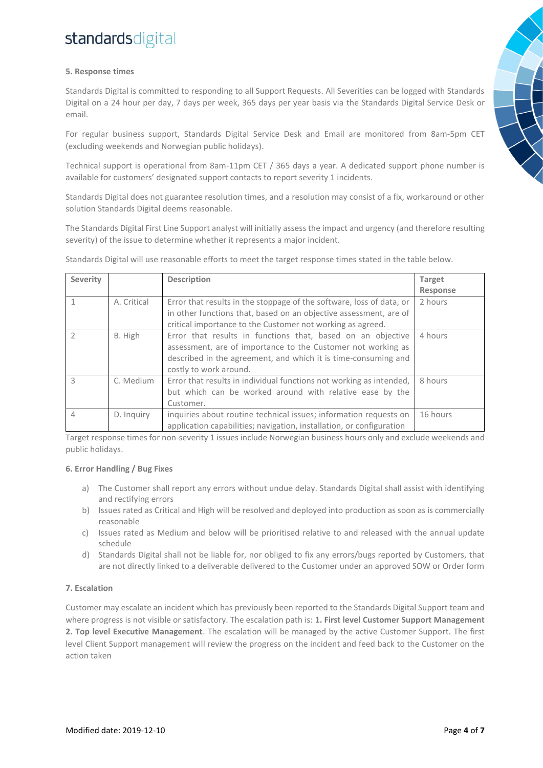# **5. Response times**

Standards Digital is committed to responding to all Support Requests. All Severities can be logged with Standards Digital on a 24 hour per day, 7 days per week, 365 days per year basis via the Standards Digital Service Desk or email.

For regular business support, Standards Digital Service Desk and Email are monitored from 8am-5pm CET (excluding weekends and Norwegian public holidays).

Technical support is operational from 8am-11pm CET / 365 days a year. A dedicated support phone number is available for customers' designated support contacts to report severity 1 incidents.

Standards Digital does not guarantee resolution times, and a resolution may consist of a fix, workaround or other solution Standards Digital deems reasonable.

The Standards Digital First Line Support analyst will initially assess the impact and urgency (and therefore resulting severity) of the issue to determine whether it represents a major incident.

| Severity       |             | <b>Description</b>                                                                                                                                                                                                      | <b>Target</b> |
|----------------|-------------|-------------------------------------------------------------------------------------------------------------------------------------------------------------------------------------------------------------------------|---------------|
|                |             |                                                                                                                                                                                                                         | Response      |
|                | A. Critical | Error that results in the stoppage of the software, loss of data, or<br>in other functions that, based on an objective assessment, are of<br>critical importance to the Customer not working as agreed.                 | 2 hours       |
| $\mathfrak{D}$ | B. High     | Error that results in functions that, based on an objective<br>assessment, are of importance to the Customer not working as<br>described in the agreement, and which it is time-consuming and<br>costly to work around. | 4 hours       |
| 3              | C. Medium   | Error that results in individual functions not working as intended,<br>but which can be worked around with relative ease by the<br>Customer.                                                                            | 8 hours       |
| 4              | D. Inquiry  | inquiries about routine technical issues; information requests on<br>application capabilities; navigation, installation, or configuration                                                                               | 16 hours      |

Standards Digital will use reasonable efforts to meet the target response times stated in the table below.

Target response times for non-severity 1 issues include Norwegian business hours only and exclude weekends and public holidays.

## **6. Error Handling / Bug Fixes**

- a) The Customer shall report any errors without undue delay. Standards Digital shall assist with identifying and rectifying errors
- b) Issues rated as Critical and High will be resolved and deployed into production as soon as is commercially reasonable
- c) Issues rated as Medium and below will be prioritised relative to and released with the annual update schedule
- d) Standards Digital shall not be liable for, nor obliged to fix any errors/bugs reported by Customers, that are not directly linked to a deliverable delivered to the Customer under an approved SOW or Order form

# **7. Escalation**

Customer may escalate an incident which has previously been reported to the Standards Digital Support team and where progress is not visible or satisfactory. The escalation path is: **1. First level Customer Support Management 2. Top level Executive Management**. The escalation will be managed by the active Customer Support. The first level Client Support management will review the progress on the incident and feed back to the Customer on the action taken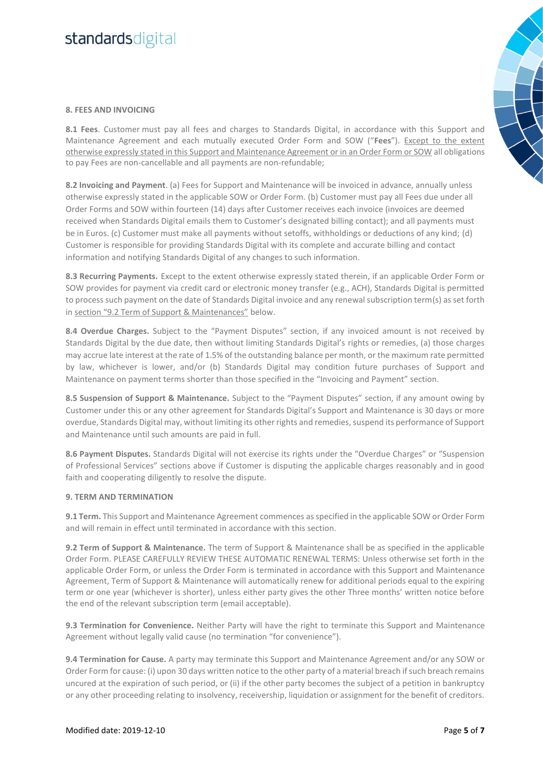#### **8. FEES AND INVOICING**

**8.1 Fees**. Customer must pay all fees and charges to Standards Digital, in accordance with this Support and Maintenance Agreement and each mutually executed Order Form and SOW ("**Fees**"). Except to the extent otherwise expressly stated in this Support and Maintenance Agreement or in an Order Form or SOW all obligations to pay Fees are non-cancellable and all payments are non-refundable;

**8.2 Invoicing and Payment**. (a) Fees for Support and Maintenance will be invoiced in advance, annually unless otherwise expressly stated in the applicable SOW or Order Form. (b) Customer must pay all Fees due under all Order Forms and SOW within fourteen (14) days after Customer receives each invoice (invoices are deemed received when Standards Digital emails them to Customer's designated billing contact); and all payments must be in Euros. (c) Customer must make all payments without setoffs, withholdings or deductions of any kind; (d) Customer is responsible for providing Standards Digital with its complete and accurate billing and contact information and notifying Standards Digital of any changes to such information.

**8.3 Recurring Payments.** Except to the extent otherwise expressly stated therein, if an applicable Order Form or SOW provides for payment via credit card or electronic money transfer (e.g., ACH), Standards Digital is permitted to process such payment on the date of Standards Digital invoice and any renewal subscription term(s) as set forth in section "9.2 Term of Support & Maintenances" below.

**8.4 Overdue Charges.** Subject to the "Payment Disputes" section, if any invoiced amount is not received by Standards Digital by the due date, then without limiting Standards Digital's rights or remedies, (a) those charges may accrue late interest at the rate of 1.5% of the outstanding balance per month, or the maximum rate permitted by law, whichever is lower, and/or (b) Standards Digital may condition future purchases of Support and Maintenance on payment terms shorter than those specified in the "Invoicing and Payment" section.

**8.5 Suspension of Support & Maintenance.** Subject to the "Payment Disputes" section, if any amount owing by Customer under this or any other agreement for Standards Digital's Support and Maintenance is 30 days or more overdue, Standards Digital may, without limiting its other rights and remedies, suspend its performance of Support and Maintenance until such amounts are paid in full.

**8.6 Payment Disputes.** Standards Digital will not exercise its rights under the "Overdue Charges" or "Suspension of Professional Services" sections above if Customer is disputing the applicable charges reasonably and in good faith and cooperating diligently to resolve the dispute.

#### **9. TERM AND TERMINATION**

**9.1 Term.** This Support and Maintenance Agreement commences as specified in the applicable SOW or Order Form and will remain in effect until terminated in accordance with this section.

**9.2 Term of Support & Maintenance.** The term of Support & Maintenance shall be as specified in the applicable Order Form. PLEASE CAREFULLY REVIEW THESE AUTOMATIC RENEWAL TERMS: Unless otherwise set forth in the applicable Order Form, or unless the Order Form is terminated in accordance with this Support and Maintenance Agreement, Term of Support & Maintenance will automatically renew for additional periods equal to the expiring term or one year (whichever is shorter), unless either party gives the other Three months' written notice before the end of the relevant subscription term (email acceptable).

**9.3 Termination for Convenience.** Neither Party will have the right to terminate this Support and Maintenance Agreement without legally valid cause (no termination "for convenience").

**9.4 Termination for Cause.** A party may terminate this Support and Maintenance Agreement and/or any SOW or Order Form for cause: (i) upon 30 days written notice to the other party of a material breach if such breach remains uncured at the expiration of such period, or (ii) if the other party becomes the subject of a petition in bankruptcy or any other proceeding relating to insolvency, receivership, liquidation or assignment for the benefit of creditors.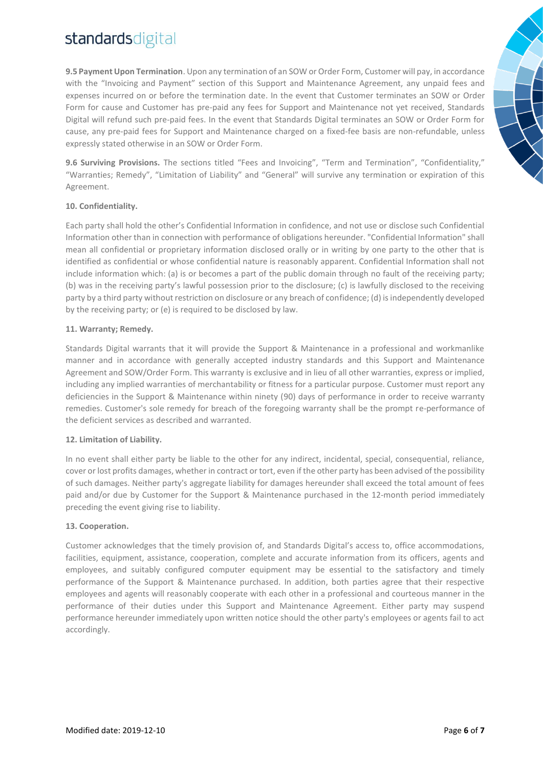**9.5 Payment Upon Termination**. Upon any termination of an SOW or Order Form, Customer will pay, in accordance with the "Invoicing and Payment" section of this Support and Maintenance Agreement, any unpaid fees and expenses incurred on or before the termination date. In the event that Customer terminates an SOW or Order Form for cause and Customer has pre-paid any fees for Support and Maintenance not yet received, Standards Digital will refund such pre-paid fees. In the event that Standards Digital terminates an SOW or Order Form for cause, any pre-paid fees for Support and Maintenance charged on a fixed-fee basis are non-refundable, unless expressly stated otherwise in an SOW or Order Form.

**9.6 Surviving Provisions.** The sections titled "Fees and Invoicing", "Term and Termination", "Confidentiality," "Warranties; Remedy", "Limitation of Liability" and "General" will survive any termination or expiration of this Agreement.

## **10. Confidentiality.**

Each party shall hold the other's Confidential Information in confidence, and not use or disclose such Confidential Information other than in connection with performance of obligations hereunder. "Confidential Information" shall mean all confidential or proprietary information disclosed orally or in writing by one party to the other that is identified as confidential or whose confidential nature is reasonably apparent. Confidential Information shall not include information which: (a) is or becomes a part of the public domain through no fault of the receiving party; (b) was in the receiving party's lawful possession prior to the disclosure; (c) is lawfully disclosed to the receiving party by a third party without restriction on disclosure or any breach of confidence; (d) is independently developed by the receiving party; or (e) is required to be disclosed by law.

## **11. Warranty; Remedy.**

Standards Digital warrants that it will provide the Support & Maintenance in a professional and workmanlike manner and in accordance with generally accepted industry standards and this Support and Maintenance Agreement and SOW/Order Form. This warranty is exclusive and in lieu of all other warranties, express or implied, including any implied warranties of merchantability or fitness for a particular purpose. Customer must report any deficiencies in the Support & Maintenance within ninety (90) days of performance in order to receive warranty remedies. Customer's sole remedy for breach of the foregoing warranty shall be the prompt re-performance of the deficient services as described and warranted.

## **12. Limitation of Liability.**

In no event shall either party be liable to the other for any indirect, incidental, special, consequential, reliance, cover or lost profits damages, whether in contract or tort, even if the other party has been advised of the possibility of such damages. Neither party's aggregate liability for damages hereunder shall exceed the total amount of fees paid and/or due by Customer for the Support & Maintenance purchased in the 12-month period immediately preceding the event giving rise to liability.

#### **13. Cooperation.**

Customer acknowledges that the timely provision of, and Standards Digital's access to, office accommodations, facilities, equipment, assistance, cooperation, complete and accurate information from its officers, agents and employees, and suitably configured computer equipment may be essential to the satisfactory and timely performance of the Support & Maintenance purchased. In addition, both parties agree that their respective employees and agents will reasonably cooperate with each other in a professional and courteous manner in the performance of their duties under this Support and Maintenance Agreement. Either party may suspend performance hereunder immediately upon written notice should the other party's employees or agents fail to act accordingly.